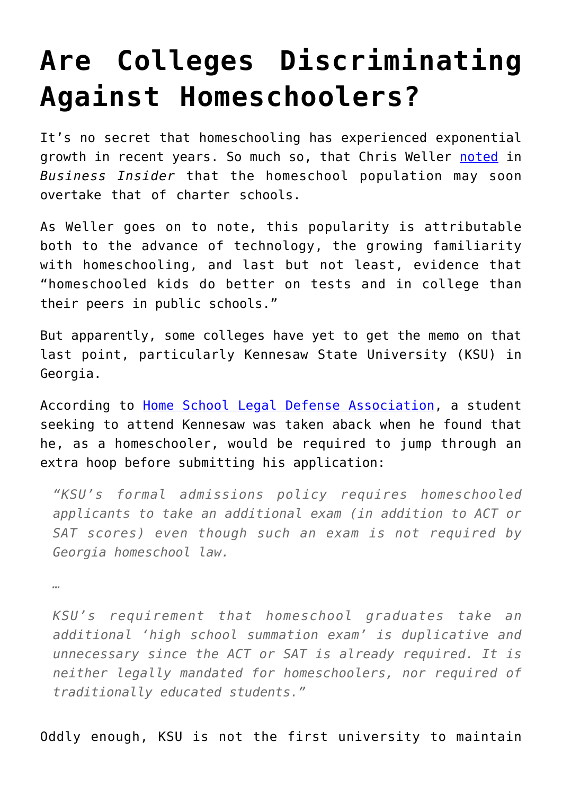## **[Are Colleges Discriminating](https://intellectualtakeout.org/2017/01/are-colleges-discriminating-against-homeschoolers/) [Against Homeschoolers?](https://intellectualtakeout.org/2017/01/are-colleges-discriminating-against-homeschoolers/)**

It's no secret that homeschooling has experienced exponential growth in recent years. So much so, that Chris Weller [noted](http://www.businessinsider.com/homeschooing-more-popular-than-ever-2017-1) in *Business Insider* that the homeschool population may soon overtake that of charter schools.

As Weller goes on to note, this popularity is attributable both to the advance of technology, the growing familiarity with homeschooling, and last but not least, evidence that "homeschooled kids do better on tests and in college than their peers in public schools."

But apparently, some colleges have yet to get the memo on that last point, particularly Kennesaw State University (KSU) in Georgia.

According to [Home School Legal Defense Association,](https://contentsharing.net/actions/email_web_version.cfm?message_id=13882223&user_id=HSLDA) a student seeking to attend Kennesaw was taken aback when he found that he, as a homeschooler, would be required to jump through an extra hoop before submitting his application:

*"KSU's formal admissions policy requires homeschooled applicants to take an additional exam (in addition to ACT or SAT scores) even though such an exam is not required by Georgia homeschool law.*

*…*

*KSU's requirement that homeschool graduates take an additional 'high school summation exam' is duplicative and unnecessary since the ACT or SAT is already required. It is neither legally mandated for homeschoolers, nor required of traditionally educated students."*

Oddly enough, KSU is not the first university to maintain